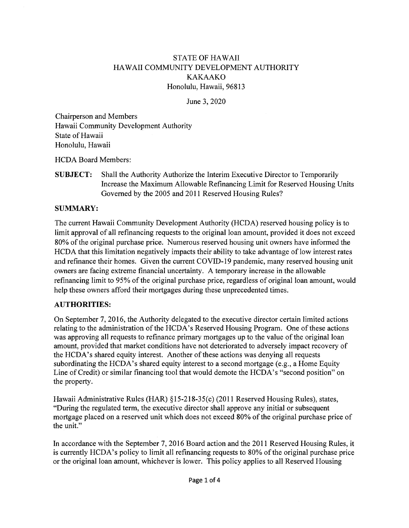## **STATE OF HAWAII** HAWAII COMMUNITY DEVELOPMENT AUTHORITY **KAKAAKO** Honolulu, Hawaii, 96813

June 3, 2020

**Chairperson and Members** Hawaii Community Development Authority State of Hawaii Honolulu, Hawaii

**HCDA Board Members:** 

Shall the Authority Authorize the Interim Executive Director to Temporarily **SUBJECT:** Increase the Maximum Allowable Refinancing Limit for Reserved Housing Units Governed by the 2005 and 2011 Reserved Housing Rules?

## **SUMMARY:**

The current Hawaii Community Development Authority (HCDA) reserved housing policy is to limit approval of all refinancing requests to the original loan amount, provided it does not exceed 80% of the original purchase price. Numerous reserved housing unit owners have informed the HCDA that this limitation negatively impacts their ability to take advantage of low interest rates and refinance their homes. Given the current COVID-19 pandemic, many reserved housing unit owners are facing extreme financial uncertainty. A temporary increase in the allowable refinancing limit to 95% of the original purchase price, regardless of original loan amount, would help these owners afford their mortgages during these unprecedented times.

## **AUTHORITIES:**

On September 7, 2016, the Authority delegated to the executive director certain limited actions relating to the administration of the HCDA's Reserved Housing Program. One of these actions was approving all requests to refinance primary mortgages up to the value of the original loan amount, provided that market conditions have not deteriorated to adversely impact recovery of the HCDA's shared equity interest. Another of these actions was denying all requests subordinating the HCDA's shared equity interest to a second mortgage (e.g., a Home Equity Line of Credit) or similar financing tool that would demote the HCDA's "second position" on the property.

Hawaii Administrative Rules (HAR) §15-218-35(c) (2011 Reserved Housing Rules), states, "During the regulated term, the executive director shall approve any initial or subsequent mortgage placed on a reserved unit which does not exceed 80% of the original purchase price of the unit."

In accordance with the September 7, 2016 Board action and the 2011 Reserved Housing Rules, it is currently HCDA's policy to limit all refinancing requests to 80% of the original purchase price or the original loan amount, whichever is lower. This policy applies to all Reserved Housing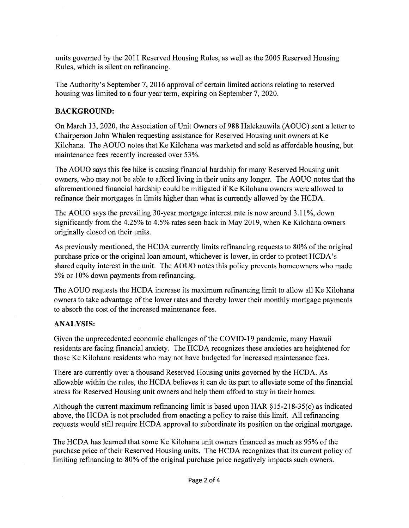units governed by the 2011 Reserved Housing Rules, as well as the 2005 Reserved Housing Rules, which is silent on refinancing.

The Authority's September 7, 2016 approval of certain limited actions relating to reserved housing was limited to a four-year term, expiring on September 7, 2020.

#### **BACKGROUND:**

On March 13, 2020, the Association of Unit Owners of 988 Halekauwila (AOUO) sent a letter to Chairperson John Whalen requesting assistance for Reserved Housing unit owners at Ke Kilohana. The AOUO notes that Ke Kilohana was marketed and sold as affordable housing, but maintenance fees recently increased over 53%.

The AOUO says this fee hike is causing financial hardship for many Reserved Housing unit owners, who may not be able to afford living in their units any longer. The AOUO notes that the aforementioned financial hardship could be mitigated if Ke Kilohana owners were allowed to refinance their mortgages in limits higher than what is currently allowed by the HCDA.

The AOUO says the prevailing 30-year mortgage interest rate is now around 3.11%, down significantly from the 4.25% to 4.5% rates seen back in May 2019, when Ke Kilohana owners originally closed on their units.

As previously mentioned, the HCDA currently limits refinancing requests to 80% of the original purchase price or the original loan amount, whichever is lower, in order to protect HCDA's shared equity interest in the unit. The AOUO notes this policy prevents homeowners who made 5% or 10% down payments from refinancing.

The AOUO requests the HCDA increase its maximum refinancing limit to allow all Ke Kilohana owners to take advantage of the lower rates and thereby lower their monthly mortgage payments to absorb the cost of the increased maintenance fees.

#### **ANALYSIS:**

Given the unprecedented economic challenges of the COVID-19 pandemic, many Hawaii residents are facing financial anxiety. The HCDA recognizes these anxieties are heightened for those Ke Kilohana residents who may not have budgeted for increased maintenance fees.

There are currently over a thousand Reserved Housing units governed by the HCDA. As allowable within the rules, the HCDA believes it can do its part to alleviate some of the financial stress for Reserved Housing unit owners and help them afford to stay in their homes.

Although the current maximum refinancing limit is based upon HAR  $\S$ 15-218-35(c) as indicated above, the HCDA is not precluded from enacting a policy to raise this limit. All refinancing requests would still require HCDA approval to subordinate its position on the original mortgage.

The HCDA has learned that some Ke Kilohana unit owners financed as much as 95% of the purchase price of their Reserved Housing units. The HCDA recognizes that its current policy of limiting refinancing to 80% of the original purchase price negatively impacts such owners.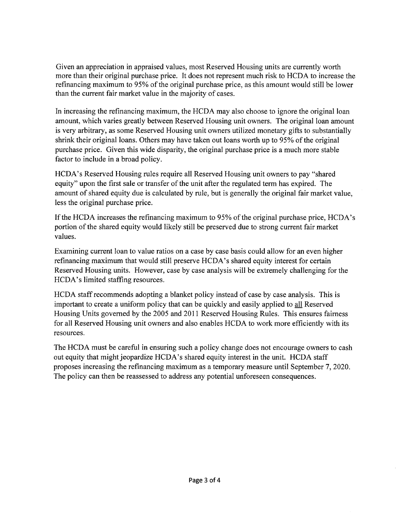Given an appreciation in appraised values, most Reserved Housing units are currently worth more than their original purchase price. It does not represent much risk to HCDA to increase the refinancing maximum to 95% of the original purchase price, as this amount would still be lower than the current fair market value in the majority of cases.

In increasing the refinancing maximum, the HCDA may also choose to ignore the original loan amount, which varies greatly between Reserved Housing unit owners. The original loan amount is very arbitrary, as some Reserved Housing unit owners utilized monetary gifts to substantially shrink their original loans. Others may have taken out loans worth up to 95% of the original purchase price. Given this wide disparity, the original purchase price is a much more stable factor to include in a broad policy.

HCDA's Reserved Housing rules require all Reserved Housing unit owners to pay "shared" equity" upon the first sale or transfer of the unit after the regulated term has expired. The amount of shared equity due is calculated by rule, but is generally the original fair market value, less the original purchase price.

If the HCDA increases the refinancing maximum to 95% of the original purchase price, HCDA's portion of the shared equity would likely still be preserved due to strong current fair market values.

Examining current loan to value ratios on a case by case basis could allow for an even higher refinancing maximum that would still preserve HCDA's shared equity interest for certain Reserved Housing units. However, case by case analysis will be extremely challenging for the HCDA's limited staffing resources.

HCDA staff recommends adopting a blanket policy instead of case by case analysis. This is important to create a uniform policy that can be quickly and easily applied to all Reserved Housing Units governed by the 2005 and 2011 Reserved Housing Rules. This ensures fairness for all Reserved Housing unit owners and also enables HCDA to work more efficiently with its resources.

The HCDA must be careful in ensuring such a policy change does not encourage owners to cash out equity that might jeopardize HCDA's shared equity interest in the unit. HCDA staff proposes increasing the refinancing maximum as a temporary measure until September 7, 2020. The policy can then be reassessed to address any potential unforeseen consequences.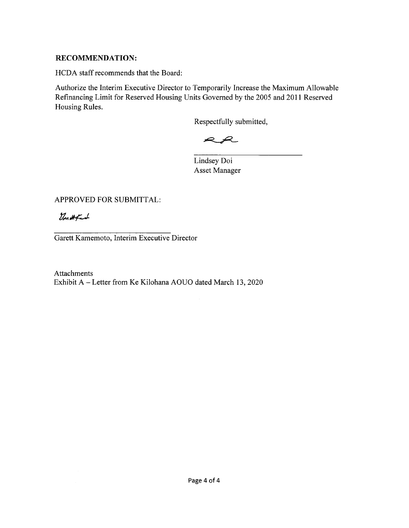#### **RECOMMENDATION:**

HCDA staff recommends that the Board:

Authorize the Interim Executive Director to Temporarily Increase the Maximum Allowable Refinancing Limit for Reserved Housing Units Governed by the 2005 and 2011 Reserved Housing Rules.

Respectfully submitted,

 $R$  $R$ 

Lindsey Doi **Asset Manager** 

APPROVED FOR SUBMITTAL:

Vouttfaut

Garett Kamemoto, Interim Executive Director

Attachments Exhibit A - Letter from Ke Kilohana AOUO dated March 13, 2020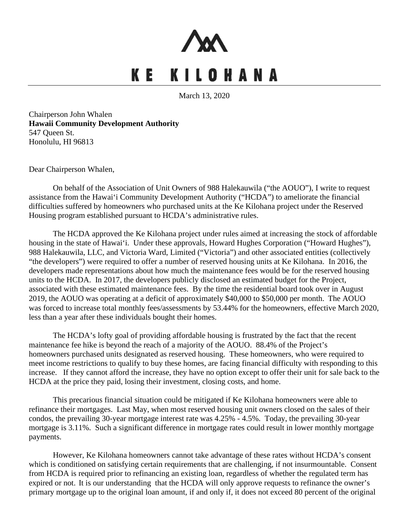

# KE KILOHANA

March 13, 2020

*Chairperson John Whalen Hawaii Community Development Authority* 547 Oueen St. *36T*Honolulu, HI 96813*18T36*

**Dear Chairperson Whalen,** 

*36T*On behalf of the Association of Unit Owners of 988 Halekauwila ("the AOUO"), I write to request assistance from the Hawai'i Community Development Authority ("HCDA") to ameliorate the financial difficulties suffered by homeowners who purchased units at the Ke Kilohana project under the Reserved Housing program established pursuant to HCDA's administrative rules.

The HCDA approved the Ke Kilohana project under rules aimed at increasing the stock of affordable housing in the state of Hawai'i. Under these approvals, Howard Hughes Corporation ("Howard Hughes"), 988 Halekauwila, LLC, and Victoria Ward, Limited ("Victoria") and other associated entities (collectively "the developers") were required to offer a number of reserved housing units at Ke Kilohana. In 2016, the developers made representations about how much the maintenance fees would be for the reserved housing units to the HCDA. In 2017, the developers publicly disclosed an estimated budget for the Project, associated with these estimated maintenance fees. By the time the residential board took over in August 2019, the AOUO was operating at a deficit of approximately \$40,000 to \$50,000 per month. The AOUO was forced to increase total monthly fees/assessments by 53.44% for the homeowners, effective March 2020, less than a year after these individuals bought their homes.

The HCDA's lofty goal of providing affordable housing is frustrated by the fact that the recent maintenance fee hike is beyond the reach of a majority of the AOUO. 88.4% of the Project's homeowners purchased units designated as reserved housing. These homeowners, who were required to meet income restrictions to qualify to buy these homes, are facing financial difficulty with responding to this increase. If they cannot afford the increase, they have no option except to offer their unit for sale back to the HCDA at the price they paid, losing their investment, closing costs, and home.

*3This precarious financial situation could be mitigated if Ke Kilohana homeowners were able to* refinance their mortgages. Last May, when most reserved housing unit owners closed on the sales of their condos, the prevailing 30-year mortgage interest rate was 4.25% - 4.5%. Today, the prevailing 30-year mortgage is 3.11%. Such a significant difference in mortgage rates could result in lower monthly mortgage payments.

However, Ke Kilohana homeowners cannot take advantage of these rates without HCDA's consent which is conditioned on satisfying certain requirements that are challenging, if not insurmountable. Consent from HCDA is required prior to refinancing an existing loan, regardless of whether the regulated term has expired or not. It is our understanding that the HCDA will only approve requests to refinance the owner's primary mortgage up to the original loan amount, if and only if, it does not exceed 80 percent of the original